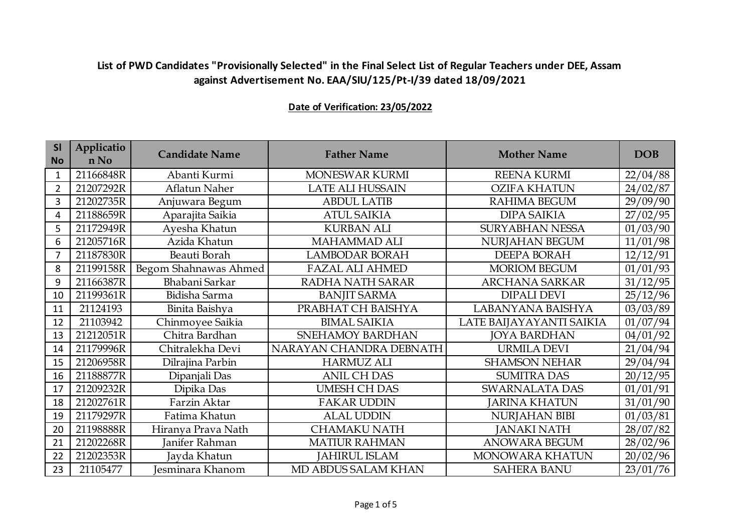| <b>SI</b><br><b>No</b> | Applicatio<br>n No | <b>Candidate Name</b> | <b>Father Name</b>      | <b>Mother Name</b>       | <b>DOB</b> |
|------------------------|--------------------|-----------------------|-------------------------|--------------------------|------------|
| 1                      | 21166848R          | Abanti Kurmi          | MONESWAR KURMI          | <b>REENA KURMI</b>       | 22/04/88   |
| 2                      | 21207292R          | Aflatun Naher         | <b>LATE ALI HUSSAIN</b> | <b>OZIFA KHATUN</b>      | 24/02/87   |
| 3                      | 21202735R          | Anjuwara Begum        | <b>ABDUL LATIB</b>      | <b>RAHIMA BEGUM</b>      | 29/09/90   |
| 4                      | 21188659R          | Aparajita Saikia      | <b>ATUL SAIKIA</b>      | <b>DIPA SAIKIA</b>       | 27/02/95   |
| 5                      | 21172949R          | Ayesha Khatun         | <b>KURBAN ALI</b>       | <b>SURYABHAN NESSA</b>   | 01/03/90   |
| 6                      | 21205716R          | Azida Khatun          | <b>MAHAMMAD ALI</b>     | NURJAHAN BEGUM           | 11/01/98   |
| 7                      | 21187830R          | Beauti Borah          | <b>LAMBODAR BORAH</b>   | <b>DEEPA BORAH</b>       | 12/12/91   |
| 8                      | 21199158R          | Begom Shahnawas Ahmed | <b>FAZAL ALI AHMED</b>  | <b>MORIOM BEGUM</b>      | 01/01/93   |
| 9                      | 21166387R          | Bhabani Sarkar        | RADHA NATH SARAR        | ARCHANA SARKAR           | 31/12/95   |
| 10                     | 21199361R          | Bidisha Sarma         | <b>BANJIT SARMA</b>     | <b>DIPALI DEVI</b>       | 25/12/96   |
| 11                     | 21124193           | Binita Baishya        | PRABHAT CH BAISHYA      | LABANYANA BAISHYA        | 03/03/89   |
| 12                     | 21103942           | Chinmoyee Saikia      | <b>BIMAL SAIKIA</b>     | LATE BAIJAYAYANTI SAIKIA | 01/07/94   |
| 13                     | 21212051R          | Chitra Bardhan        | SNEHAMOY BARDHAN        | <b>JOYA BARDHAN</b>      | 04/01/92   |
| 14                     | 21179996R          | Chitralekha Devi      | NARAYAN CHANDRA DEBNATH | <b>URMILA DEVI</b>       | 21/04/94   |
| 15                     | 21206958R          | Dilrajina Parbin      | <b>HARMUZ ALI</b>       | <b>SHAMSON NEHAR</b>     | 29/04/94   |
| 16                     | 21188877R          | Dipanjali Das         | <b>ANIL CH DAS</b>      | <b>SUMITRA DAS</b>       | 20/12/95   |
| 17                     | 21209232R          | Dipika Das            | <b>UMESH CH DAS</b>     | SWARNALATA DAS           | 01/01/91   |
| 18                     | 21202761R          | Farzin Aktar          | <b>FAKAR UDDIN</b>      | <b>ARINA KHATUN</b>      | 31/01/90   |
| 19                     | 21179297R          | Fatima Khatun         | <b>ALAL UDDIN</b>       | <b>NURJAHAN BIBI</b>     | 01/03/81   |
| 20                     | 21198888R          | Hiranya Prava Nath    | <b>CHAMAKU NATH</b>     | <b>JANAKI NATH</b>       | 28/07/82   |
| 21                     | 21202268R          | Janifer Rahman        | <b>MATIUR RAHMAN</b>    | ANOWARA BEGUM            | 28/02/96   |
| 22                     | 21202353R          | Jayda Khatun          | <b>JAHIRUL ISLAM</b>    | MONOWARA KHATUN          | 20/02/96   |
| 23                     | 21105477           | Jesminara Khanom      | MD ABDUS SALAM KHAN     | <b>SAHERA BANU</b>       | 23/01/76   |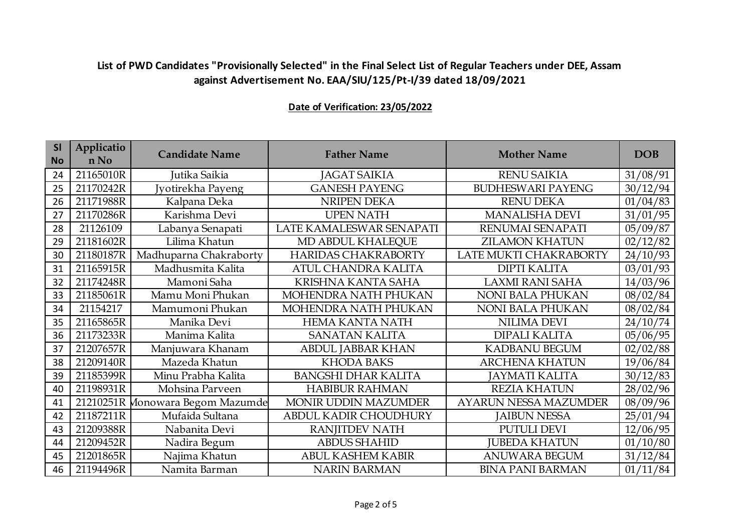| <b>SI</b><br><b>No</b> | Applicatio<br>n No | <b>Candidate Name</b>            | <b>Father Name</b>           | <b>Mother Name</b>           | <b>DOB</b> |
|------------------------|--------------------|----------------------------------|------------------------------|------------------------------|------------|
| 24                     | 21165010R          | Jutika Saikia                    | <b>JAGAT SAIKIA</b>          | <b>RENU SAIKIA</b>           | 31/08/91   |
| 25                     | 21170242R          | Jyotirekha Payeng                | <b>GANESH PAYENG</b>         | <b>BUDHESWARI PAYENG</b>     | 30/12/94   |
| 26                     | 21171988R          | Kalpana Deka                     | <b>NRIPEN DEKA</b>           | <b>RENU DEKA</b>             | 01/04/83   |
| 27                     | 21170286R          | Karishma Devi                    | <b>UPEN NATH</b>             | <b>MANALISHA DEVI</b>        | 31/01/95   |
| 28                     | 21126109           | Labanya Senapati                 | LATE KAMALESWAR SENAPATI     | RENUMAI SENAPATI             | 05/09/87   |
| 29                     | 21181602R          | Lilima Khatun                    | MD ABDUL KHALEQUE            | <b>ZILAMON KHATUN</b>        | 02/12/82   |
| 30                     | 21180187R          | Madhuparna Chakraborty           | HARIDAS CHAKRABORTY          | LATE MUKTI CHAKRABORTY       | 24/10/93   |
| 31                     | 21165915R          | Madhusmita Kalita                | ATUL CHANDRA KALITA          | <b>DIPTI KALITA</b>          | 03/01/93   |
| 32                     | 21174248R          | Mamoni Saha                      | KRISHNA KANTA SAHA           | LAXMI RANI SAHA              | 14/03/96   |
| 33                     | 21185061R          | Mamu Moni Phukan                 | MOHENDRA NATH PHUKAN         | <b>NONI BALA PHUKAN</b>      | 08/02/84   |
| 34                     | 21154217           | Mamumoni Phukan                  | MOHENDRA NATH PHUKAN         | <b>NONI BALA PHUKAN</b>      | 08/02/84   |
| 35                     | 21165865R          | Manika Devi                      | <b>HEMA KANTA NATH</b>       | <b>NILIMA DEVI</b>           | 24/10/74   |
| 36                     | 21173233R          | Manima Kalita                    | <b>SANATAN KALITA</b>        | <b>DIPALI KALITA</b>         | 05/06/95   |
| 37                     | 21207657R          | Manjuwara Khanam                 | <b>ABDUL JABBAR KHAN</b>     | <b>KADBANU BEGUM</b>         | 02/02/88   |
| 38                     | 21209140R          | Mazeda Khatun                    | <b>KHODA BAKS</b>            | <b>ARCHENA KHATUN</b>        | 19/06/84   |
| 39                     | 21185399R          | Minu Prabha Kalita               | <b>BANGSHI DHAR KALITA</b>   | <b>JAYMATI KALITA</b>        | 30/12/83   |
| 40                     | 21198931R          | Mohsina Parveen                  | <b>HABIBUR RAHMAN</b>        | <b>REZIA KHATUN</b>          | 28/02/96   |
| 41                     |                    | 21210251R Monowara Begom Mazumde | MONIR UDDIN MAZUMDER         | <b>AYARUN NESSA MAZUMDER</b> | 08/09/96   |
| 42                     | 21187211R          | Mufaida Sultana                  | <b>ABDUL KADIR CHOUDHURY</b> | <b>JAIBUN NESSA</b>          | 25/01/94   |
| 43                     | 21209388R          | Nabanita Devi                    | <b>RANJITDEV NATH</b>        | <b>PUTULI DEVI</b>           | 12/06/95   |
| 44                     | 21209452R          | Nadira Begum                     | <b>ABDUS SHAHID</b>          | <b>JUBEDA KHATUN</b>         | 01/10/80   |
| 45                     | 21201865R          | Najima Khatun                    | <b>ABUL KASHEM KABIR</b>     | <b>ANUWARA BEGUM</b>         | 31/12/84   |
| 46                     | 21194496R          | Namita Barman                    | <b>NARIN BARMAN</b>          | <b>BINA PANI BARMAN</b>      | 01/11/84   |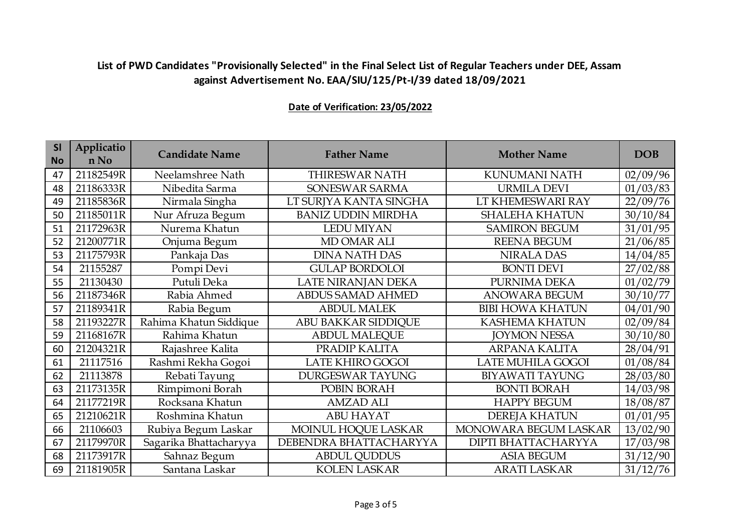| <b>SI</b><br><b>No</b> | Applicatio<br>n No | <b>Candidate Name</b>  | <b>Father Name</b>        | <b>Mother Name</b>      | <b>DOB</b> |
|------------------------|--------------------|------------------------|---------------------------|-------------------------|------------|
| 47                     | 21182549R          | Neelamshree Nath       | THIRESWAR NATH            | KUNUMANI NATH           | 02/09/96   |
| 48                     | 21186333R          | Nibedita Sarma         | SONESWAR SARMA            | <b>URMILA DEVI</b>      | 01/03/83   |
| 49                     | 21185836R          | Nirmala Singha         | LT SURJYA KANTA SINGHA    | LT KHEMESWARI RAY       | 22/09/76   |
| 50                     | 21185011R          | Nur Afruza Begum       | <b>BANIZ UDDIN MIRDHA</b> | <b>SHALEHA KHATUN</b>   | 30/10/84   |
| 51                     | 21172963R          | Nurema Khatun          | <b>LEDU MIYAN</b>         | <b>SAMIRON BEGUM</b>    | 31/01/95   |
| 52                     | 21200771R          | Onjuma Begum           | MD OMAR ALI               | <b>REENA BEGUM</b>      | 21/06/85   |
| 53                     | 21175793R          | Pankaja Das            | <b>DINA NATH DAS</b>      | <b>NIRALA DAS</b>       | 14/04/85   |
| 54                     | 21155287           | Pompi Devi             | <b>GULAP BORDOLOI</b>     | <b>BONTI DEVI</b>       | 27/02/88   |
| 55                     | 21130430           | Putuli Deka            | LATE NIRANJAN DEKA        | PURNIMA DEKA            | 01/02/79   |
| 56                     | 21187346R          | Rabia Ahmed            | <b>ABDUS SAMAD AHMED</b>  | <b>ANOWARA BEGUM</b>    | 30/10/77   |
| 57                     | 21189341R          | Rabia Begum            | <b>ABDUL MALEK</b>        | <b>BIBI HOWA KHATUN</b> | 04/01/90   |
| 58                     | 21193227R          | Rahima Khatun Siddique | ABU BAKKAR SIDDIQUE       | <b>KASHEMA KHATUN</b>   | 02/09/84   |
| 59                     | 21168167R          | Rahima Khatun          | <b>ABDUL MALEQUE</b>      | <b>JOYMON NESSA</b>     | 30/10/80   |
| 60                     | 21204321R          | Rajashree Kalita       | PRADIP KALITA             | <b>ARPANA KALITA</b>    | 28/04/91   |
| 61                     | 21117516           | Rashmi Rekha Gogoi     | LATE KHIRO GOGOI          | LATE MUHILA GOGOI       | 01/08/84   |
| 62                     | 21113878           | Rebati Tayung          | <b>DURGESWAR TAYUNG</b>   | <b>BIYAWATI TAYUNG</b>  | 28/03/80   |
| 63                     | 21173135R          | Rimpimoni Borah        | POBIN BORAH               | <b>BONTI BORAH</b>      | 14/03/98   |
| 64                     | 21177219R          | Rocksana Khatun        | <b>AMZAD ALI</b>          | <b>HAPPY BEGUM</b>      | 18/08/87   |
| 65                     | 21210621R          | Roshmina Khatun        | <b>ABU HAYAT</b>          | <b>DEREJA KHATUN</b>    | 01/01/95   |
| 66                     | 21106603           | Rubiya Begum Laskar    | MOINUL HOQUE LASKAR       | MONOWARA BEGUM LASKAR   | 13/02/90   |
| 67                     | 21179970R          | Sagarika Bhattacharyya | DEBENDRA BHATTACHARYYA    | DIPTI BHATTACHARYYA     | 17/03/98   |
| 68                     | 21173917R          | Sahnaz Begum           | <b>ABDUL QUDDUS</b>       | <b>ASIA BEGUM</b>       | 31/12/90   |
| 69                     | 21181905R          | Santana Laskar         | <b>KOLEN LASKAR</b>       | ARATI LASKAR            | 31/12/76   |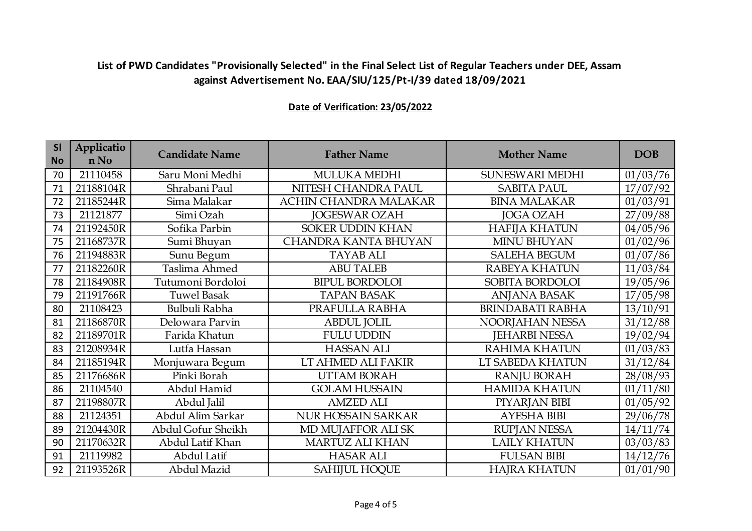| <b>SI</b><br><b>No</b> | Applicatio<br>n No | <b>Candidate Name</b> | <b>Father Name</b>          | <b>Mother Name</b>      | <b>DOB</b> |
|------------------------|--------------------|-----------------------|-----------------------------|-------------------------|------------|
| 70                     | 21110458           | Saru Moni Medhi       | MULUKA MEDHI                | SUNESWARI MEDHI         | 01/03/76   |
| 71                     | 21188104R          | Shrabani Paul         | NITESH CHANDRA PAUL         | <b>SABITA PAUL</b>      | 17/07/92   |
| 72                     | 21185244R          | Sima Malakar          | ACHIN CHANDRA MALAKAR       | <b>BINA MALAKAR</b>     | 01/03/91   |
| 73                     | 21121877           | Simi Ozah             | <b>JOGESWAR OZAH</b>        | <b>JOGA OZAH</b>        | 27/09/88   |
| 74                     | 21192450R          | Sofika Parbin         | <b>SOKER UDDIN KHAN</b>     | <b>HAFIJA KHATUN</b>    | 04/05/96   |
| 75                     | 21168737R          | Sumi Bhuyan           | <b>CHANDRA KANTA BHUYAN</b> | MINU BHUYAN             | 01/02/96   |
| 76                     | 21194883R          | Sunu Begum            | <b>TAYAB ALI</b>            | <b>SALEHA BEGUM</b>     | 01/07/86   |
| 77                     | 21182260R          | Taslima Ahmed         | <b>ABU TALEB</b>            | RABEYA KHATUN           | 11/03/84   |
| 78                     | 21184908R          | Tutumoni Bordoloi     | <b>BIPUL BORDOLOI</b>       | SOBITA BORDOLOI         | 19/05/96   |
| 79                     | 21191766R          | <b>Tuwel Basak</b>    | <b>TAPAN BASAK</b>          | <b>ANJANA BASAK</b>     | 17/05/98   |
| 80                     | 21108423           | Bulbuli Rabha         | PRAFULLA RABHA              | <b>BRINDABATI RABHA</b> | 13/10/91   |
| 81                     | 21186870R          | Delowara Parvin       | <b>ABDUL JOLIL</b>          | NOORJAHAN NESSA         | 31/12/88   |
| 82                     | 21189701R          | Farida Khatun         | <b>FULU UDDIN</b>           | <b>JEHARBI NESSA</b>    | 19/02/94   |
| 83                     | 21208934R          | Lutfa Hassan          | <b>HASSAN ALI</b>           | <b>RAHIMA KHATUN</b>    | 01/03/83   |
| 84                     | 21185194R          | Monjuwara Begum       | LT AHMED ALI FAKIR          | LT SABEDA KHATUN        | 31/12/84   |
| 85                     | 21176686R          | Pinki Borah           | <b>UTTAM BORAH</b>          | <b>RANJU BORAH</b>      | 28/08/93   |
| 86                     | 21104540           | Abdul Hamid           | <b>GOLAM HUSSAIN</b>        | <b>HAMIDA KHATUN</b>    | 01/11/80   |
| 87                     | 21198807R          | Abdul Jalil           | <b>AMZED ALI</b>            | PIYARJAN BIBI           | 01/05/92   |
| 88                     | 21124351           | Abdul Alim Sarkar     | <b>NUR HOSSAIN SARKAR</b>   | <b>AYESHA BIBI</b>      | 29/06/78   |
| 89                     | 21204430R          | Abdul Gofur Sheikh    | MD MUJAFFOR ALI SK          | <b>RUPJAN NESSA</b>     | 14/11/74   |
| 90                     | 21170632R          | Abdul Latif Khan      | <b>MARTUZ ALI KHAN</b>      | <b>LAILY KHATUN</b>     | 03/03/83   |
| 91                     | 21119982           | Abdul Latif           | <b>HASAR ALI</b>            | <b>FULSAN BIBI</b>      | 14/12/76   |
| 92                     | 21193526R          | Abdul Mazid           | <b>SAHIJUL HOQUE</b>        | <b>HAJRA KHATUN</b>     | 01/01/90   |